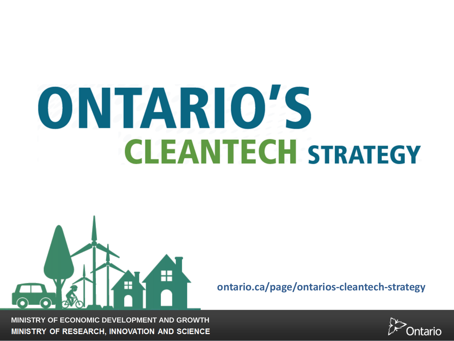# ONTARIO'S **CLEANTECH STRATEGY**



**ontario.ca/page/ontarios-cleantech-strategy**

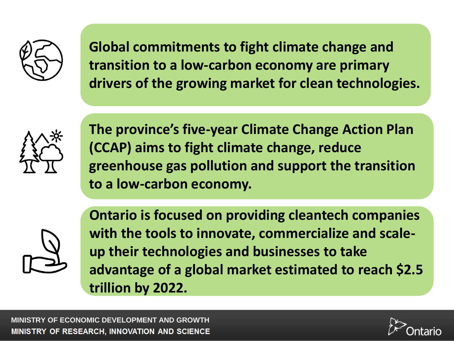

**Global commitments to fight climate change and transition to a low-carbon economy are primary drivers of the growing market for clean technologies.**



**The province's five-year Climate Change Action Plan (CCAP) aims to fight climate change, reduce greenhouse gas pollution and support the transition to a low-carbon economy.**



**Ontario is focused on providing cleantech companies with the tools to innovate, commercialize and scaleup their technologies and businesses to take advantage of a global market estimated to reach \$2.5 trillion by 2022.**

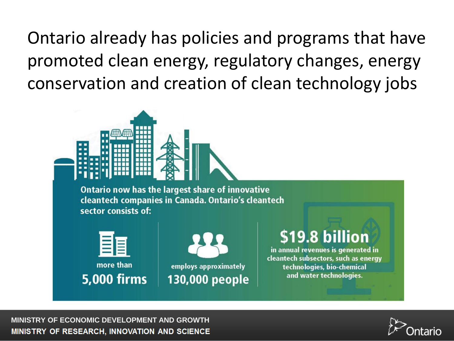Ontario already has policies and programs that have promoted clean energy, regulatory changes, energy conservation and creation of clean technology jobs



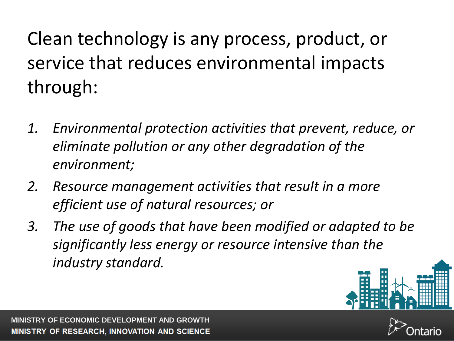Clean technology is any process, product, or service that reduces environmental impacts through:

- *1. Environmental protection activities that prevent, reduce, or eliminate pollution or any other degradation of the environment;*
- *2. Resource management activities that result in a more efficient use of natural resources; or*
- *3. The use of goods that have been modified or adapted to be significantly less energy or resource intensive than the industry standard.*



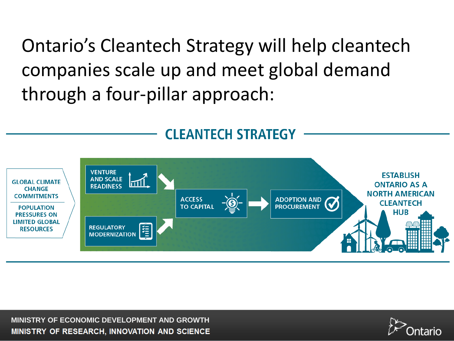Ontario's Cleantech Strategy will help cleantech companies scale up and meet global demand through a four-pillar approach:



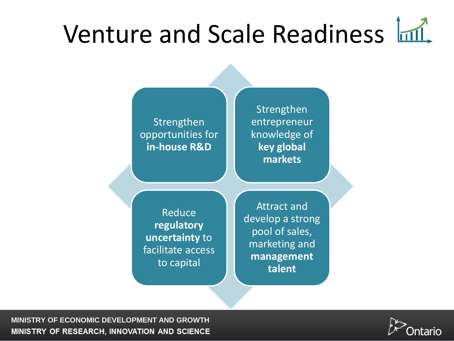### Venture and Scale Readiness Infl.

Strengthen opportunities for **in-house R&D**

**Strengthen** entrepreneur knowledge of **key global markets**

**Reduce regulatory uncertainty** to facilitate access to capital

Attract and develop a strong pool of sales, marketing and **management talent**

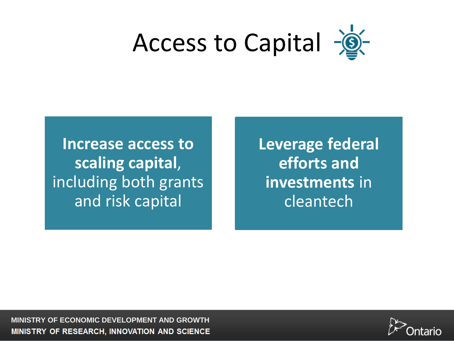

**Increase access to scaling capital**, including both grants and risk capital

**Leverage federal efforts and investments** in cleantech

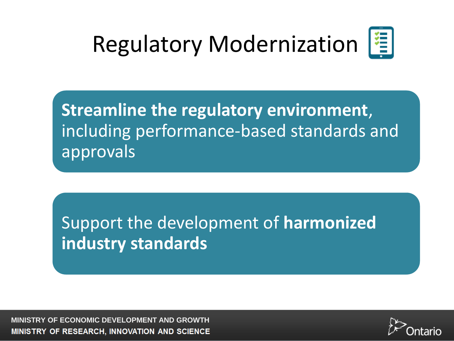#### Regulatory Modernization |



**Streamline the regulatory environment**, including performance-based standards and approvals

Support the development of **harmonized industry standards**

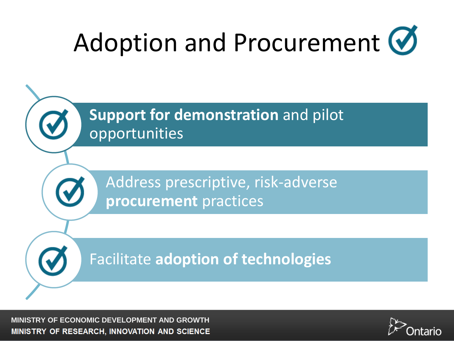## Adoption and Procurement  $\bigcirc$



Address prescriptive, risk-adverse **procurement** practices

Facilitate **adoption of technologies**

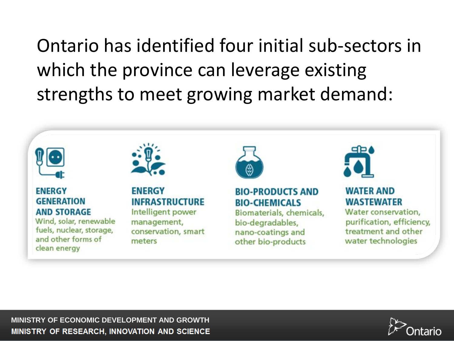Ontario has identified four initial sub-sectors in which the province can leverage existing strengths to meet growing market demand:



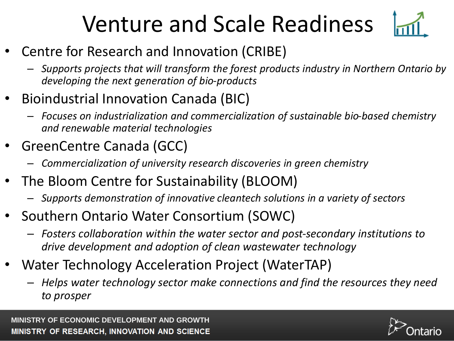#### Venture and Scale Readiness



- Centre for Research and Innovation (CRIBE)
	- *Supports projects that will transform the forest products industry in Northern Ontario by developing the next generation of bio-products*
- Bioindustrial Innovation Canada (BIC)
	- *Focuses on industrialization and commercialization of sustainable bio-based chemistry and renewable material technologies*
- GreenCentre Canada (GCC)
	- *Commercialization of university research discoveries in green chemistry*
- The Bloom Centre for Sustainability (BLOOM)
	- *Supports demonstration of innovative cleantech solutions in a variety of sectors*
- Southern Ontario Water Consortium (SOWC)
	- *Fosters collaboration within the water sector and post-secondary institutions to drive development and adoption of clean wastewater technology*
- Water Technology Acceleration Project (WaterTAP)
	- *Helps water technology sector make connections and find the resources they need to prosper*

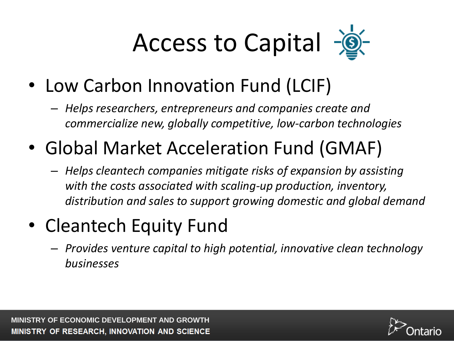Access to Capital  $-\circledcirc$ 

- Low Carbon Innovation Fund (LCIF)
	- *Helps researchers, entrepreneurs and companies create and commercialize new, globally competitive, low-carbon technologies*
- Global Market Acceleration Fund (GMAF)
	- *Helps cleantech companies mitigate risks of expansion by assisting with the costs associated with scaling-up production, inventory, distribution and sales to support growing domestic and global demand*
- Cleantech Equity Fund
	- *Provides venture capital to high potential, innovative clean technology businesses*

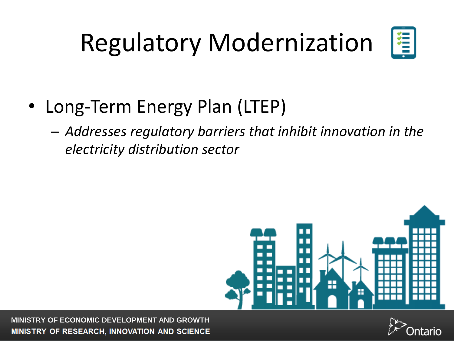### Regulatory Modernization



- Long-Term Energy Plan (LTEP)
	- *Addresses regulatory barriers that inhibit innovation in the electricity distribution sector*



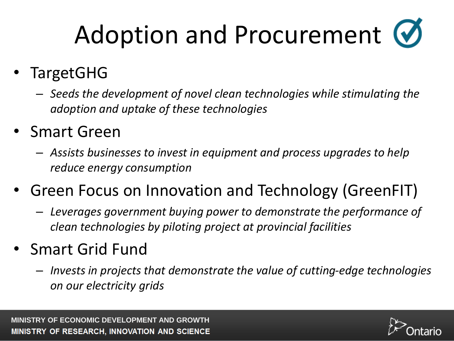## Adoption and Procurement  $\bullet$

#### • TargetGHG

- *Seeds the development of novel clean technologies while stimulating the adoption and uptake of these technologies*
- Smart Green
	- *Assists businesses to invest in equipment and process upgrades to help reduce energy consumption*
- Green Focus on Innovation and Technology (GreenFIT)
	- *Leverages government buying power to demonstrate the performance of clean technologies by piloting project at provincial facilities*
- Smart Grid Fund
	- *Invests in projects that demonstrate the value of cutting-edge technologies on our electricity grids*